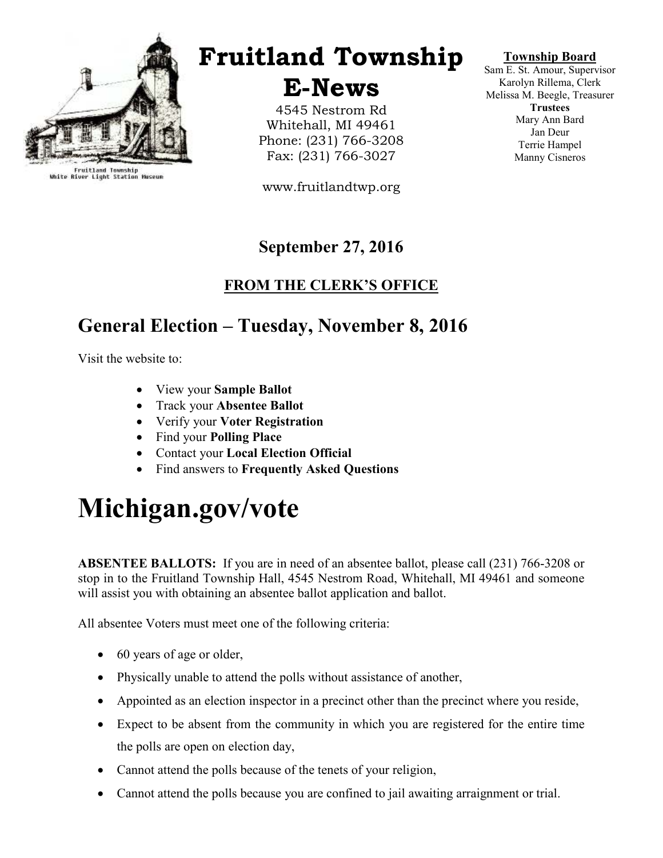

Fruitland Township<br>White River Light Station Museum

## Fruitland Township

E-News

4545 Nestrom Rd Whitehall, MI 49461 Phone: (231) 766-3208 Fax: (231) 766-3027

www.fruitlandtwp.org

### September 27, 2016

#### FROM THE CLERK'S OFFICE

## General Election – Tuesday, November 8, 2016

Visit the website to:

- View your Sample Ballot
- Track your Absentee Ballot
- Verify your Voter Registration
- Find your Polling Place
- Contact your Local Election Official
- Find answers to Frequently Asked Questions

# Michigan.gov/vote

ABSENTEE BALLOTS: If you are in need of an absentee ballot, please call (231) 766-3208 or stop in to the Fruitland Township Hall, 4545 Nestrom Road, Whitehall, MI 49461 and someone will assist you with obtaining an absentee ballot application and ballot.

All absentee Voters must meet one of the following criteria:

- 60 years of age or older,
- Physically unable to attend the polls without assistance of another,
- Appointed as an election inspector in a precinct other than the precinct where you reside,
- Expect to be absent from the community in which you are registered for the entire time the polls are open on election day,
- Cannot attend the polls because of the tenets of your religion,
- Cannot attend the polls because you are confined to jail awaiting arraignment or trial.

#### Township Board

Sam E. St. Amour, Supervisor Karolyn Rillema, Clerk Melissa M. Beegle, Treasurer **Trustees** Mary Ann Bard Jan Deur Terrie Hampel Manny Cisneros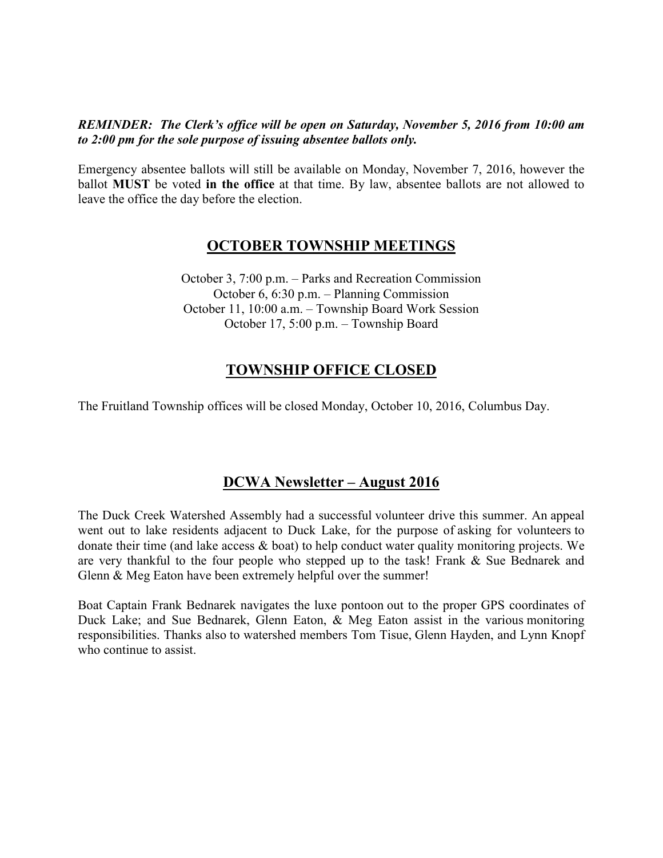#### REMINDER: The Clerk's office will be open on Saturday, November 5, 2016 from 10:00 am to 2:00 pm for the sole purpose of issuing absentee ballots only.

Emergency absentee ballots will still be available on Monday, November 7, 2016, however the ballot MUST be voted in the office at that time. By law, absentee ballots are not allowed to leave the office the day before the election.

#### OCTOBER TOWNSHIP MEETINGS

October 3, 7:00 p.m. – Parks and Recreation Commission October 6, 6:30 p.m. – Planning Commission October 11, 10:00 a.m. – Township Board Work Session October 17, 5:00 p.m. – Township Board

#### TOWNSHIP OFFICE CLOSED

The Fruitland Township offices will be closed Monday, October 10, 2016, Columbus Day.

#### DCWA Newsletter – August 2016

The Duck Creek Watershed Assembly had a successful volunteer drive this summer. An appeal went out to lake residents adjacent to Duck Lake, for the purpose of asking for volunteers to donate their time (and lake access & boat) to help conduct water quality monitoring projects. We are very thankful to the four people who stepped up to the task! Frank & Sue Bednarek and Glenn & Meg Eaton have been extremely helpful over the summer!

Boat Captain Frank Bednarek navigates the luxe pontoon out to the proper GPS coordinates of Duck Lake; and Sue Bednarek, Glenn Eaton, & Meg Eaton assist in the various monitoring responsibilities. Thanks also to watershed members Tom Tisue, Glenn Hayden, and Lynn Knopf who continue to assist.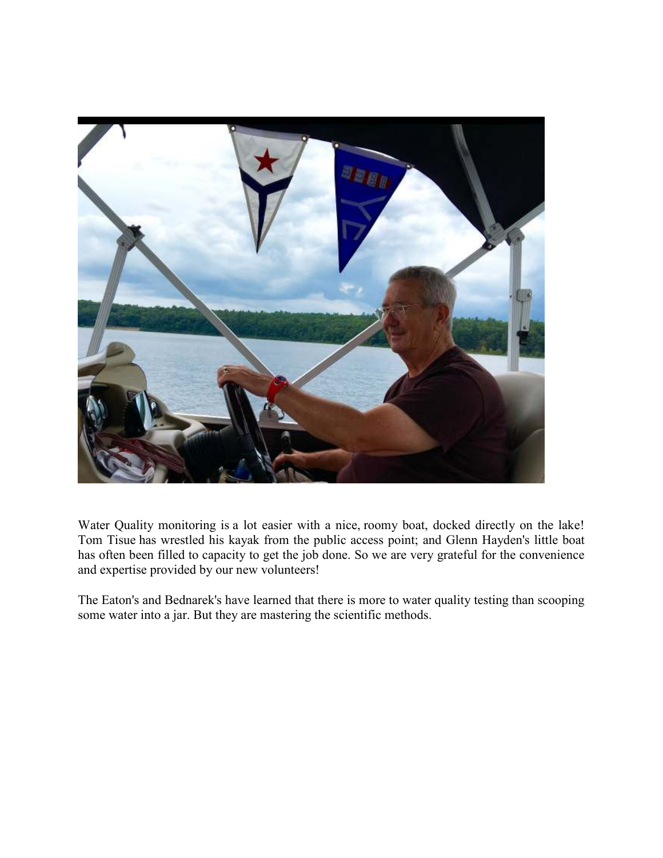

Water Quality monitoring is a lot easier with a nice, roomy boat, docked directly on the lake! Tom Tisue has wrestled his kayak from the public access point; and Glenn Hayden's little boat has often been filled to capacity to get the job done. So we are very grateful for the convenience and expertise provided by our new volunteers!

The Eaton's and Bednarek's have learned that there is more to water quality testing than scooping some water into a jar. But they are mastering the scientific methods.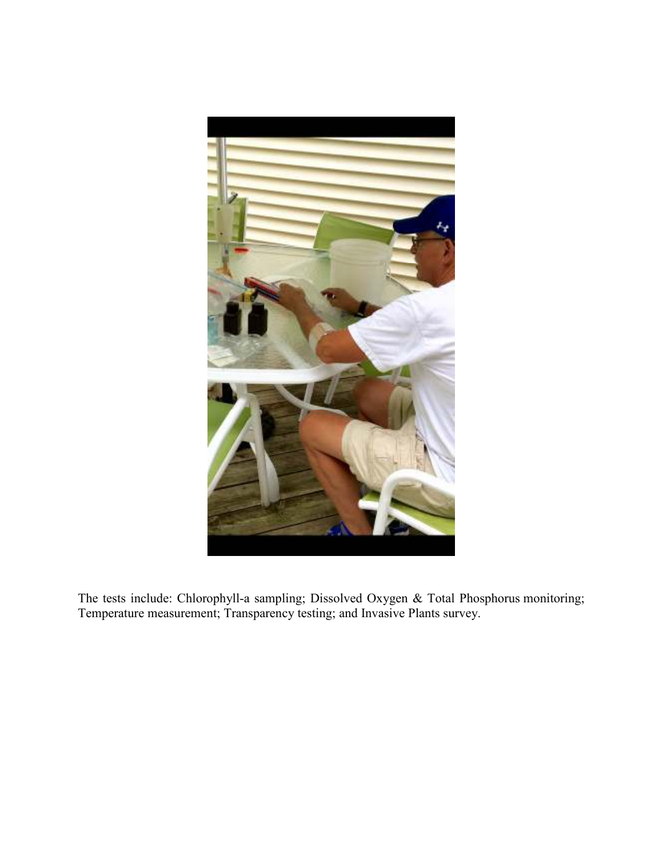

The tests include: Chlorophyll-a sampling; Dissolved Oxygen & Total Phosphorus monitoring; Temperature measurement; Transparency testing; and Invasive Plants survey.